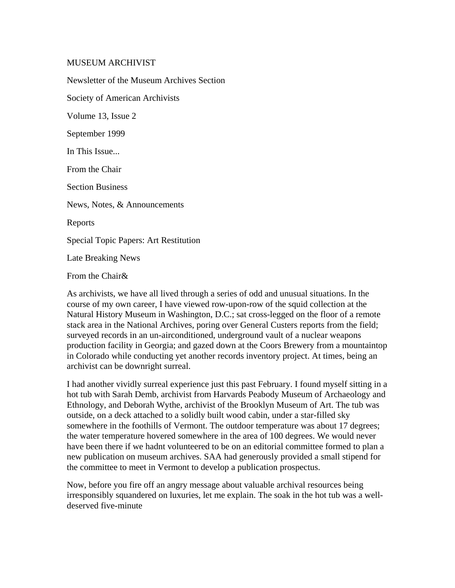#### MUSEUM ARCHIVIST

Newsletter of the Museum Archives Section Society of American Archivists Volume 13, Issue 2 September 1999 In This Issue... From the Chair Section Business News, Notes, & Announcements Reports Special Topic Papers: Art Restitution Late Breaking News

From the Chair&

As archivists, we have all lived through a series of odd and unusual situations. In the course of my own career, I have viewed row-upon-row of the squid collection at the Natural History Museum in Washington, D.C.; sat cross-legged on the floor of a remote stack area in the National Archives, poring over General Custers reports from the field; surveyed records in an un-airconditioned, underground vault of a nuclear weapons production facility in Georgia; and gazed down at the Coors Brewery from a mountaintop in Colorado while conducting yet another records inventory project. At times, being an archivist can be downright surreal.

I had another vividly surreal experience just this past February. I found myself sitting in a hot tub with Sarah Demb, archivist from Harvards Peabody Museum of Archaeology and Ethnology, and Deborah Wythe, archivist of the Brooklyn Museum of Art. The tub was outside, on a deck attached to a solidly built wood cabin, under a star-filled sky somewhere in the foothills of Vermont. The outdoor temperature was about 17 degrees; the water temperature hovered somewhere in the area of 100 degrees. We would never have been there if we hadnt volunteered to be on an editorial committee formed to plan a new publication on museum archives. SAA had generously provided a small stipend for the committee to meet in Vermont to develop a publication prospectus.

Now, before you fire off an angry message about valuable archival resources being irresponsibly squandered on luxuries, let me explain. The soak in the hot tub was a welldeserved five-minute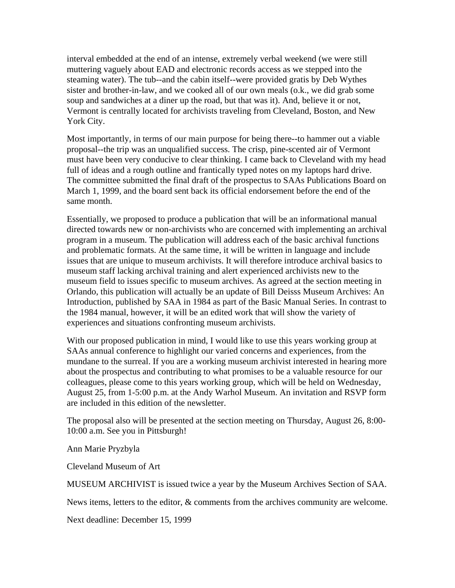interval embedded at the end of an intense, extremely verbal weekend (we were still muttering vaguely about EAD and electronic records access as we stepped into the steaming water). The tub--and the cabin itself--were provided gratis by Deb Wythes sister and brother-in-law, and we cooked all of our own meals (o.k., we did grab some soup and sandwiches at a diner up the road, but that was it). And, believe it or not, Vermont is centrally located for archivists traveling from Cleveland, Boston, and New York City.

Most importantly, in terms of our main purpose for being there--to hammer out a viable proposal--the trip was an unqualified success. The crisp, pine-scented air of Vermont must have been very conducive to clear thinking. I came back to Cleveland with my head full of ideas and a rough outline and frantically typed notes on my laptops hard drive. The committee submitted the final draft of the prospectus to SAAs Publications Board on March 1, 1999, and the board sent back its official endorsement before the end of the same month.

Essentially, we proposed to produce a publication that will be an informational manual directed towards new or non-archivists who are concerned with implementing an archival program in a museum. The publication will address each of the basic archival functions and problematic formats. At the same time, it will be written in language and include issues that are unique to museum archivists. It will therefore introduce archival basics to museum staff lacking archival training and alert experienced archivists new to the museum field to issues specific to museum archives. As agreed at the section meeting in Orlando, this publication will actually be an update of Bill Deisss Museum Archives: An Introduction, published by SAA in 1984 as part of the Basic Manual Series. In contrast to the 1984 manual, however, it will be an edited work that will show the variety of experiences and situations confronting museum archivists.

With our proposed publication in mind, I would like to use this years working group at SAAs annual conference to highlight our varied concerns and experiences, from the mundane to the surreal. If you are a working museum archivist interested in hearing more about the prospectus and contributing to what promises to be a valuable resource for our colleagues, please come to this years working group, which will be held on Wednesday, August 25, from 1-5:00 p.m. at the Andy Warhol Museum. An invitation and RSVP form are included in this edition of the newsletter.

The proposal also will be presented at the section meeting on Thursday, August 26, 8:00- 10:00 a.m. See you in Pittsburgh!

Ann Marie Pryzbyla

Cleveland Museum of Art

MUSEUM ARCHIVIST is issued twice a year by the Museum Archives Section of SAA.

News items, letters to the editor, & comments from the archives community are welcome.

Next deadline: December 15, 1999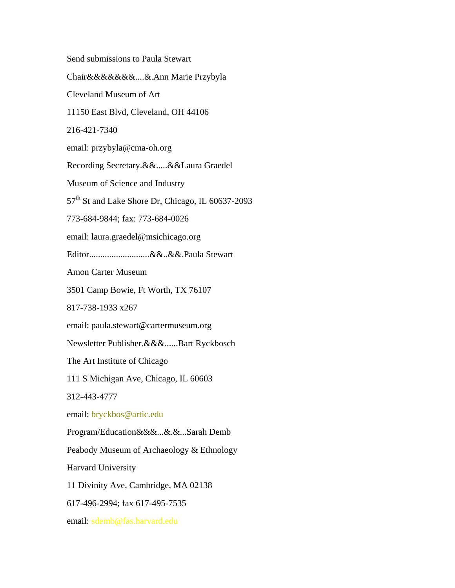Send submissions to Paula Stewart Chair&&&&&&&....&.Ann Marie Przybyla Cleveland Museum of Art 11150 East Blvd, Cleveland, OH 44106 216-421-7340 email: przybyla@cma-oh.org Recording Secretary.&&.....&&Laura Graedel Museum of Science and Industry  $57<sup>th</sup>$  St and Lake Shore Dr, Chicago, IL 60637-2093 773-684-9844; fax: 773-684-0026 email: laura.graedel@msichicago.org Editor...........................&&..&&.Paula Stewart Amon Carter Museum 3501 Camp Bowie, Ft Worth, TX 76107 817-738-1933 x267 email: paula.stewart@cartermuseum.org Newsletter Publisher.&&&......Bart Ryckbosch The Art Institute of Chicago 111 S Michigan Ave, Chicago, IL 60603 312-443-4777 email: bryckbos@artic.edu Program/Education&&&...&.&...Sarah Demb Peabody Museum of Archaeology & Ethnology Harvard University 11 Divinity Ave, Cambridge, MA 02138 617-496-2994; fax 617-495-7535 email: sdemb@fas.harvard.edu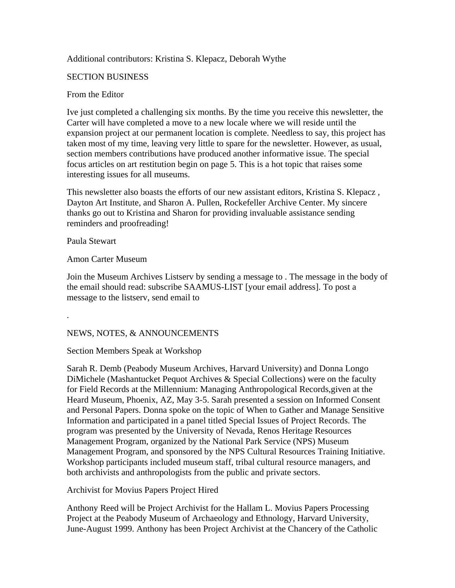## Additional contributors: Kristina S. Klepacz, Deborah Wythe

### SECTION BUSINESS

### From the Editor

Ive just completed a challenging six months. By the time you receive this newsletter, the Carter will have completed a move to a new locale where we will reside until the expansion project at our permanent location is complete. Needless to say, this project has taken most of my time, leaving very little to spare for the newsletter. However, as usual, section members contributions have produced another informative issue. The special focus articles on art restitution begin on page 5. This is a hot topic that raises some interesting issues for all museums.

This newsletter also boasts the efforts of our new assistant editors, Kristina S. Klepacz , Dayton Art Institute, and Sharon A. Pullen, Rockefeller Archive Center. My sincere thanks go out to Kristina and Sharon for providing invaluable assistance sending reminders and proofreading!

Paula Stewart

.

Amon Carter Museum

Join the Museum Archives Listserv by sending a message to . The message in the body of the email should read: subscribe SAAMUS-LIST [your email address]. To post a message to the listserv, send email to

## NEWS, NOTES, & ANNOUNCEMENTS

## Section Members Speak at Workshop

Sarah R. Demb (Peabody Museum Archives, Harvard University) and Donna Longo DiMichele (Mashantucket Pequot Archives & Special Collections) were on the faculty for Field Records at the Millennium: Managing Anthropological Records,given at the Heard Museum, Phoenix, AZ, May 3-5. Sarah presented a session on Informed Consent and Personal Papers. Donna spoke on the topic of When to Gather and Manage Sensitive Information and participated in a panel titled Special Issues of Project Records. The program was presented by the University of Nevada, Renos Heritage Resources Management Program, organized by the National Park Service (NPS) Museum Management Program, and sponsored by the NPS Cultural Resources Training Initiative. Workshop participants included museum staff, tribal cultural resource managers, and both archivists and anthropologists from the public and private sectors.

Archivist for Movius Papers Project Hired

Anthony Reed will be Project Archivist for the Hallam L. Movius Papers Processing Project at the Peabody Museum of Archaeology and Ethnology, Harvard University, June-August 1999. Anthony has been Project Archivist at the Chancery of the Catholic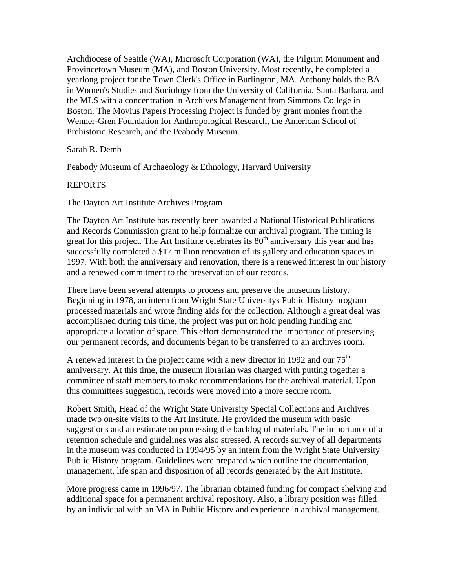Archdiocese of Seattle (WA), Microsoft Corporation (WA), the Pilgrim Monument and Provincetown Museum (MA), and Boston University. Most recently, he completed a yearlong project for the Town Clerk's Office in Burlington, MA. Anthony holds the BA in Women's Studies and Sociology from the University of California, Santa Barbara, and the MLS with a concentration in Archives Management from Simmons College in Boston. The Movius Papers Processing Project is funded by grant monies from the Wenner-Gren Foundation for Anthropological Research, the American School of Prehistoric Research, and the Peabody Museum.

Sarah R. Demb

Peabody Museum of Archaeology & Ethnology, Harvard University

#### REPORTS

The Dayton Art Institute Archives Program

The Dayton Art Institute has recently been awarded a National Historical Publications and Records Commission grant to help formalize our archival program. The timing is great for this project. The Art Institute celebrates its  $80<sup>th</sup>$  anniversary this year and has successfully completed a \$17 million renovation of its gallery and education spaces in 1997. With both the anniversary and renovation, there is a renewed interest in our history and a renewed commitment to the preservation of our records.

There have been several attempts to process and preserve the museums history. Beginning in 1978, an intern from Wright State Universitys Public History program processed materials and wrote finding aids for the collection. Although a great deal was accomplished during this time, the project was put on hold pending funding and appropriate allocation of space. This effort demonstrated the importance of preserving our permanent records, and documents began to be transferred to an archives room.

A renewed interest in the project came with a new director in 1992 and our  $75<sup>th</sup>$ anniversary. At this time, the museum librarian was charged with putting together a committee of staff members to make recommendations for the archival material. Upon this committees suggestion, records were moved into a more secure room.

Robert Smith, Head of the Wright State University Special Collections and Archives made two on-site visits to the Art Institute. He provided the museum with basic suggestions and an estimate on processing the backlog of materials. The importance of a retention schedule and guidelines was also stressed. A records survey of all departments in the museum was conducted in 1994/95 by an intern from the Wright State University Public History program. Guidelines were prepared which outline the documentation, management, life span and disposition of all records generated by the Art Institute.

More progress came in 1996/97. The librarian obtained funding for compact shelving and additional space for a permanent archival repository. Also, a library position was filled by an individual with an MA in Public History and experience in archival management.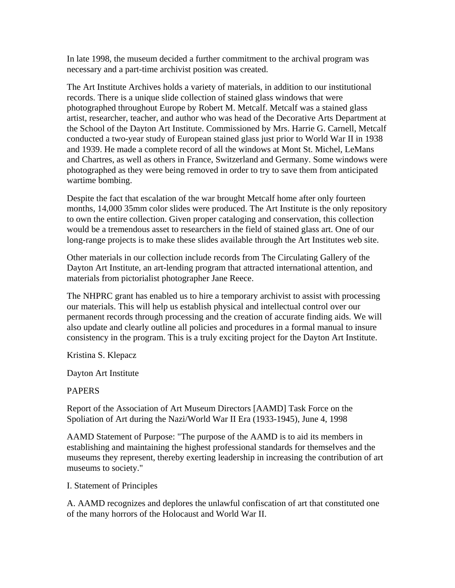In late 1998, the museum decided a further commitment to the archival program was necessary and a part-time archivist position was created.

The Art Institute Archives holds a variety of materials, in addition to our institutional records. There is a unique slide collection of stained glass windows that were photographed throughout Europe by Robert M. Metcalf. Metcalf was a stained glass artist, researcher, teacher, and author who was head of the Decorative Arts Department at the School of the Dayton Art Institute. Commissioned by Mrs. Harrie G. Carnell, Metcalf conducted a two-year study of European stained glass just prior to World War II in 1938 and 1939. He made a complete record of all the windows at Mont St. Michel, LeMans and Chartres, as well as others in France, Switzerland and Germany. Some windows were photographed as they were being removed in order to try to save them from anticipated wartime bombing.

Despite the fact that escalation of the war brought Metcalf home after only fourteen months, 14,000 35mm color slides were produced. The Art Institute is the only repository to own the entire collection. Given proper cataloging and conservation, this collection would be a tremendous asset to researchers in the field of stained glass art. One of our long-range projects is to make these slides available through the Art Institutes web site.

Other materials in our collection include records from The Circulating Gallery of the Dayton Art Institute, an art-lending program that attracted international attention, and materials from pictorialist photographer Jane Reece.

The NHPRC grant has enabled us to hire a temporary archivist to assist with processing our materials. This will help us establish physical and intellectual control over our permanent records through processing and the creation of accurate finding aids. We will also update and clearly outline all policies and procedures in a formal manual to insure consistency in the program. This is a truly exciting project for the Dayton Art Institute.

Kristina S. Klepacz

Dayton Art Institute

## PAPERS

Report of the Association of Art Museum Directors [AAMD] Task Force on the Spoliation of Art during the Nazi/World War II Era (1933-1945), June 4, 1998

AAMD Statement of Purpose: "The purpose of the AAMD is to aid its members in establishing and maintaining the highest professional standards for themselves and the museums they represent, thereby exerting leadership in increasing the contribution of art museums to society."

I. Statement of Principles

A. AAMD recognizes and deplores the unlawful confiscation of art that constituted one of the many horrors of the Holocaust and World War II.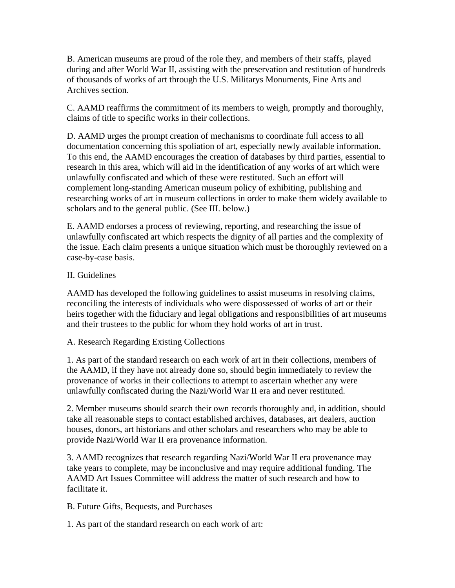B. American museums are proud of the role they, and members of their staffs, played during and after World War II, assisting with the preservation and restitution of hundreds of thousands of works of art through the U.S. Militarys Monuments, Fine Arts and Archives section.

C. AAMD reaffirms the commitment of its members to weigh, promptly and thoroughly, claims of title to specific works in their collections.

D. AAMD urges the prompt creation of mechanisms to coordinate full access to all documentation concerning this spoliation of art, especially newly available information. To this end, the AAMD encourages the creation of databases by third parties, essential to research in this area, which will aid in the identification of any works of art which were unlawfully confiscated and which of these were restituted. Such an effort will complement long-standing American museum policy of exhibiting, publishing and researching works of art in museum collections in order to make them widely available to scholars and to the general public. (See III. below.)

E. AAMD endorses a process of reviewing, reporting, and researching the issue of unlawfully confiscated art which respects the dignity of all parties and the complexity of the issue. Each claim presents a unique situation which must be thoroughly reviewed on a case-by-case basis.

# II. Guidelines

AAMD has developed the following guidelines to assist museums in resolving claims, reconciling the interests of individuals who were dispossessed of works of art or their heirs together with the fiduciary and legal obligations and responsibilities of art museums and their trustees to the public for whom they hold works of art in trust.

A. Research Regarding Existing Collections

1. As part of the standard research on each work of art in their collections, members of the AAMD, if they have not already done so, should begin immediately to review the provenance of works in their collections to attempt to ascertain whether any were unlawfully confiscated during the Nazi/World War II era and never restituted.

2. Member museums should search their own records thoroughly and, in addition, should take all reasonable steps to contact established archives, databases, art dealers, auction houses, donors, art historians and other scholars and researchers who may be able to provide Nazi/World War II era provenance information.

3. AAMD recognizes that research regarding Nazi/World War II era provenance may take years to complete, may be inconclusive and may require additional funding. The AAMD Art Issues Committee will address the matter of such research and how to facilitate it.

B. Future Gifts, Bequests, and Purchases

1. As part of the standard research on each work of art: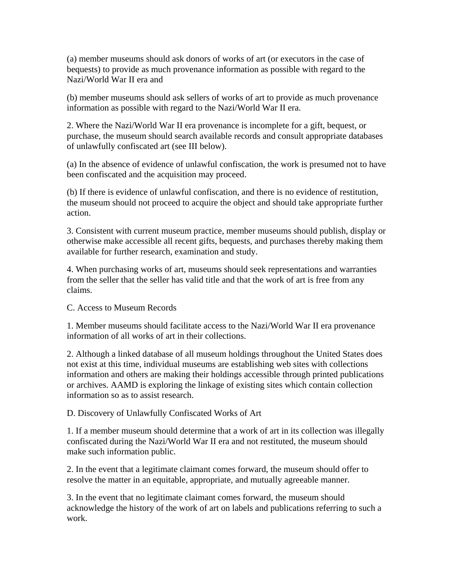(a) member museums should ask donors of works of art (or executors in the case of bequests) to provide as much provenance information as possible with regard to the Nazi/World War II era and

(b) member museums should ask sellers of works of art to provide as much provenance information as possible with regard to the Nazi/World War II era.

2. Where the Nazi/World War II era provenance is incomplete for a gift, bequest, or purchase, the museum should search available records and consult appropriate databases of unlawfully confiscated art (see III below).

(a) In the absence of evidence of unlawful confiscation, the work is presumed not to have been confiscated and the acquisition may proceed.

(b) If there is evidence of unlawful confiscation, and there is no evidence of restitution, the museum should not proceed to acquire the object and should take appropriate further action.

3. Consistent with current museum practice, member museums should publish, display or otherwise make accessible all recent gifts, bequests, and purchases thereby making them available for further research, examination and study.

4. When purchasing works of art, museums should seek representations and warranties from the seller that the seller has valid title and that the work of art is free from any claims.

C. Access to Museum Records

1. Member museums should facilitate access to the Nazi/World War II era provenance information of all works of art in their collections.

2. Although a linked database of all museum holdings throughout the United States does not exist at this time, individual museums are establishing web sites with collections information and others are making their holdings accessible through printed publications or archives. AAMD is exploring the linkage of existing sites which contain collection information so as to assist research.

D. Discovery of Unlawfully Confiscated Works of Art

1. If a member museum should determine that a work of art in its collection was illegally confiscated during the Nazi/World War II era and not restituted, the museum should make such information public.

2. In the event that a legitimate claimant comes forward, the museum should offer to resolve the matter in an equitable, appropriate, and mutually agreeable manner.

3. In the event that no legitimate claimant comes forward, the museum should acknowledge the history of the work of art on labels and publications referring to such a work.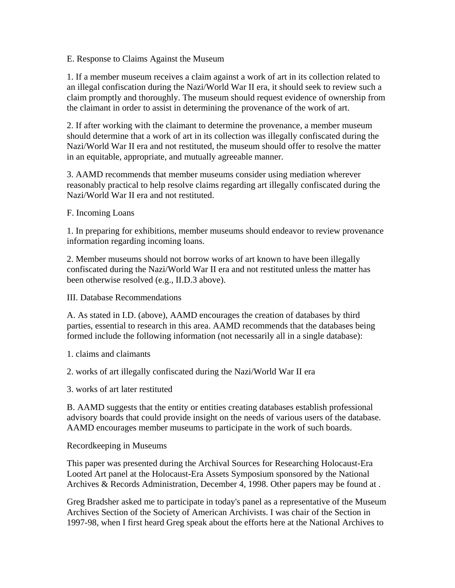E. Response to Claims Against the Museum

1. If a member museum receives a claim against a work of art in its collection related to an illegal confiscation during the Nazi/World War II era, it should seek to review such a claim promptly and thoroughly. The museum should request evidence of ownership from the claimant in order to assist in determining the provenance of the work of art.

2. If after working with the claimant to determine the provenance, a member museum should determine that a work of art in its collection was illegally confiscated during the Nazi/World War II era and not restituted, the museum should offer to resolve the matter in an equitable, appropriate, and mutually agreeable manner.

3. AAMD recommends that member museums consider using mediation wherever reasonably practical to help resolve claims regarding art illegally confiscated during the Nazi/World War II era and not restituted.

## F. Incoming Loans

1. In preparing for exhibitions, member museums should endeavor to review provenance information regarding incoming loans.

2. Member museums should not borrow works of art known to have been illegally confiscated during the Nazi/World War II era and not restituted unless the matter has been otherwise resolved (e.g., II.D.3 above).

III. Database Recommendations

A. As stated in I.D. (above), AAMD encourages the creation of databases by third parties, essential to research in this area. AAMD recommends that the databases being formed include the following information (not necessarily all in a single database):

1. claims and claimants

2. works of art illegally confiscated during the Nazi/World War II era

3. works of art later restituted

B. AAMD suggests that the entity or entities creating databases establish professional advisory boards that could provide insight on the needs of various users of the database. AAMD encourages member museums to participate in the work of such boards.

# Recordkeeping in Museums

This paper was presented during the Archival Sources for Researching Holocaust-Era Looted Art panel at the Holocaust-Era Assets Symposium sponsored by the National Archives & Records Administration, December 4, 1998. Other papers may be found at .

Greg Bradsher asked me to participate in today's panel as a representative of the Museum Archives Section of the Society of American Archivists. I was chair of the Section in 1997-98, when I first heard Greg speak about the efforts here at the National Archives to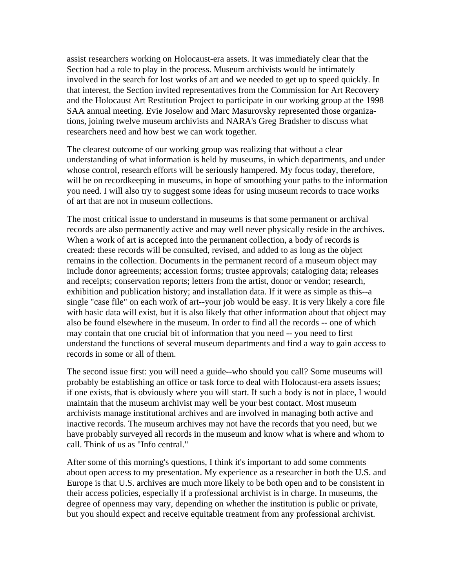assist researchers working on Holocaust-era assets. It was immediately clear that the Section had a role to play in the process. Museum archivists would be intimately involved in the search for lost works of art and we needed to get up to speed quickly. In that interest, the Section invited representatives from the Commission for Art Recovery and the Holocaust Art Restitution Project to participate in our working group at the 1998 SAA annual meeting. Evie Joselow and Marc Masurovsky represented those organizations, joining twelve museum archivists and NARA's Greg Bradsher to discuss what researchers need and how best we can work together.

The clearest outcome of our working group was realizing that without a clear understanding of what information is held by museums, in which departments, and under whose control, research efforts will be seriously hampered. My focus today, therefore, will be on record keeping in museums, in hope of smoothing your paths to the information you need. I will also try to suggest some ideas for using museum records to trace works of art that are not in museum collections.

The most critical issue to understand in museums is that some permanent or archival records are also permanently active and may well never physically reside in the archives. When a work of art is accepted into the permanent collection, a body of records is created: these records will be consulted, revised, and added to as long as the object remains in the collection. Documents in the permanent record of a museum object may include donor agreements; accession forms; trustee approvals; cataloging data; releases and receipts; conservation reports; letters from the artist, donor or vendor; research, exhibition and publication history; and installation data. If it were as simple as this--a single "case file" on each work of art--your job would be easy. It is very likely a core file with basic data will exist, but it is also likely that other information about that object may also be found elsewhere in the museum. In order to find all the records -- one of which may contain that one crucial bit of information that you need -- you need to first understand the functions of several museum departments and find a way to gain access to records in some or all of them.

The second issue first: you will need a guide--who should you call? Some museums will probably be establishing an office or task force to deal with Holocaust-era assets issues; if one exists, that is obviously where you will start. If such a body is not in place, I would maintain that the museum archivist may well be your best contact. Most museum archivists manage institutional archives and are involved in managing both active and inactive records. The museum archives may not have the records that you need, but we have probably surveyed all records in the museum and know what is where and whom to call. Think of us as "Info central."

After some of this morning's questions, I think it's important to add some comments about open access to my presentation. My experience as a researcher in both the U.S. and Europe is that U.S. archives are much more likely to be both open and to be consistent in their access policies, especially if a professional archivist is in charge. In museums, the degree of openness may vary, depending on whether the institution is public or private, but you should expect and receive equitable treatment from any professional archivist.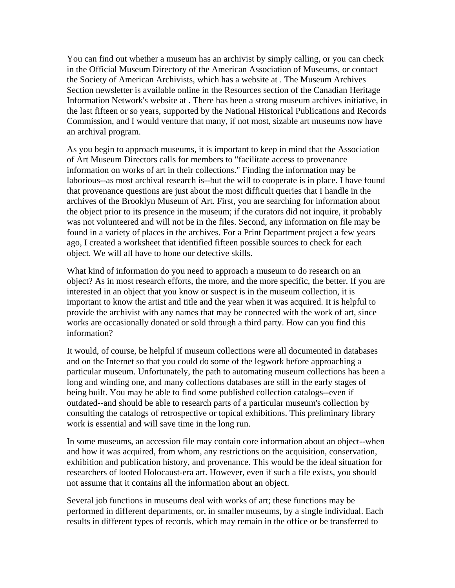You can find out whether a museum has an archivist by simply calling, or you can check in the Official Museum Directory of the American Association of Museums, or contact the Society of American Archivists, which has a website at . The Museum Archives Section newsletter is available online in the Resources section of the Canadian Heritage Information Network's website at . There has been a strong museum archives initiative, in the last fifteen or so years, supported by the National Historical Publications and Records Commission, and I would venture that many, if not most, sizable art museums now have an archival program.

As you begin to approach museums, it is important to keep in mind that the Association of Art Museum Directors calls for members to "facilitate access to provenance information on works of art in their collections." Finding the information may be laborious--as most archival research is--but the will to cooperate is in place. I have found that provenance questions are just about the most difficult queries that I handle in the archives of the Brooklyn Museum of Art. First, you are searching for information about the object prior to its presence in the museum; if the curators did not inquire, it probably was not volunteered and will not be in the files. Second, any information on file may be found in a variety of places in the archives. For a Print Department project a few years ago, I created a worksheet that identified fifteen possible sources to check for each object. We will all have to hone our detective skills.

What kind of information do you need to approach a museum to do research on an object? As in most research efforts, the more, and the more specific, the better. If you are interested in an object that you know or suspect is in the museum collection, it is important to know the artist and title and the year when it was acquired. It is helpful to provide the archivist with any names that may be connected with the work of art, since works are occasionally donated or sold through a third party. How can you find this information?

It would, of course, be helpful if museum collections were all documented in databases and on the Internet so that you could do some of the legwork before approaching a particular museum. Unfortunately, the path to automating museum collections has been a long and winding one, and many collections databases are still in the early stages of being built. You may be able to find some published collection catalogs--even if outdated--and should be able to research parts of a particular museum's collection by consulting the catalogs of retrospective or topical exhibitions. This preliminary library work is essential and will save time in the long run.

In some museums, an accession file may contain core information about an object--when and how it was acquired, from whom, any restrictions on the acquisition, conservation, exhibition and publication history, and provenance. This would be the ideal situation for researchers of looted Holocaust-era art. However, even if such a file exists, you should not assume that it contains all the information about an object.

Several job functions in museums deal with works of art; these functions may be performed in different departments, or, in smaller museums, by a single individual. Each results in different types of records, which may remain in the office or be transferred to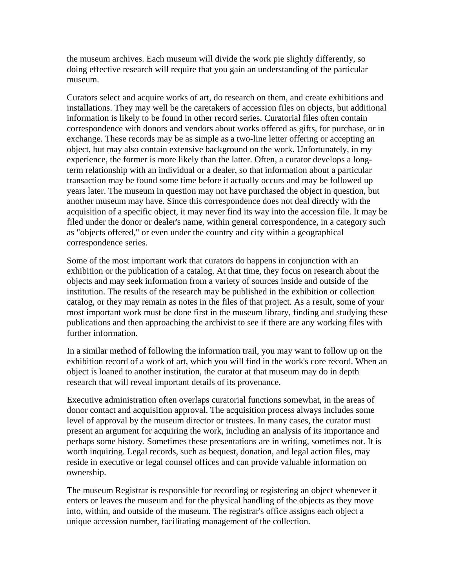the museum archives. Each museum will divide the work pie slightly differently, so doing effective research will require that you gain an understanding of the particular museum.

Curators select and acquire works of art, do research on them, and create exhibitions and installations. They may well be the caretakers of accession files on objects, but additional information is likely to be found in other record series. Curatorial files often contain correspondence with donors and vendors about works offered as gifts, for purchase, or in exchange. These records may be as simple as a two-line letter offering or accepting an object, but may also contain extensive background on the work. Unfortunately, in my experience, the former is more likely than the latter. Often, a curator develops a longterm relationship with an individual or a dealer, so that information about a particular transaction may be found some time before it actually occurs and may be followed up years later. The museum in question may not have purchased the object in question, but another museum may have. Since this correspondence does not deal directly with the acquisition of a specific object, it may never find its way into the accession file. It may be filed under the donor or dealer's name, within general correspondence, in a category such as "objects offered," or even under the country and city within a geographical correspondence series.

Some of the most important work that curators do happens in conjunction with an exhibition or the publication of a catalog. At that time, they focus on research about the objects and may seek information from a variety of sources inside and outside of the institution. The results of the research may be published in the exhibition or collection catalog, or they may remain as notes in the files of that project. As a result, some of your most important work must be done first in the museum library, finding and studying these publications and then approaching the archivist to see if there are any working files with further information.

In a similar method of following the information trail, you may want to follow up on the exhibition record of a work of art, which you will find in the work's core record. When an object is loaned to another institution, the curator at that museum may do in depth research that will reveal important details of its provenance.

Executive administration often overlaps curatorial functions somewhat, in the areas of donor contact and acquisition approval. The acquisition process always includes some level of approval by the museum director or trustees. In many cases, the curator must present an argument for acquiring the work, including an analysis of its importance and perhaps some history. Sometimes these presentations are in writing, sometimes not. It is worth inquiring. Legal records, such as bequest, donation, and legal action files, may reside in executive or legal counsel offices and can provide valuable information on ownership.

The museum Registrar is responsible for recording or registering an object whenever it enters or leaves the museum and for the physical handling of the objects as they move into, within, and outside of the museum. The registrar's office assigns each object a unique accession number, facilitating management of the collection.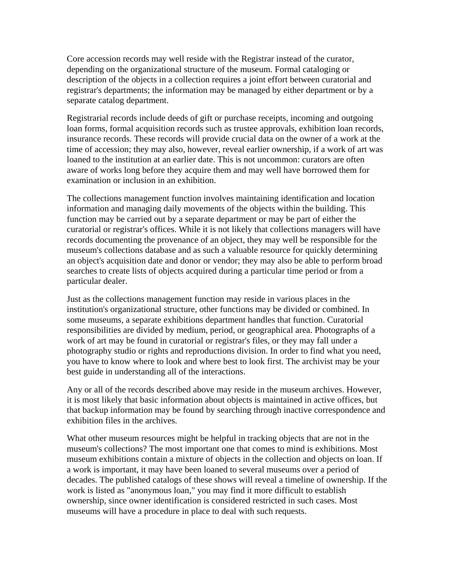Core accession records may well reside with the Registrar instead of the curator, depending on the organizational structure of the museum. Formal cataloging or description of the objects in a collection requires a joint effort between curatorial and registrar's departments; the information may be managed by either department or by a separate catalog department.

Registrarial records include deeds of gift or purchase receipts, incoming and outgoing loan forms, formal acquisition records such as trustee approvals, exhibition loan records, insurance records. These records will provide crucial data on the owner of a work at the time of accession; they may also, however, reveal earlier ownership, if a work of art was loaned to the institution at an earlier date. This is not uncommon: curators are often aware of works long before they acquire them and may well have borrowed them for examination or inclusion in an exhibition.

The collections management function involves maintaining identification and location information and managing daily movements of the objects within the building. This function may be carried out by a separate department or may be part of either the curatorial or registrar's offices. While it is not likely that collections managers will have records documenting the provenance of an object, they may well be responsible for the museum's collections database and as such a valuable resource for quickly determining an object's acquisition date and donor or vendor; they may also be able to perform broad searches to create lists of objects acquired during a particular time period or from a particular dealer.

Just as the collections management function may reside in various places in the institution's organizational structure, other functions may be divided or combined. In some museums, a separate exhibitions department handles that function. Curatorial responsibilities are divided by medium, period, or geographical area. Photographs of a work of art may be found in curatorial or registrar's files, or they may fall under a photography studio or rights and reproductions division. In order to find what you need, you have to know where to look and where best to look first. The archivist may be your best guide in understanding all of the interactions.

Any or all of the records described above may reside in the museum archives. However, it is most likely that basic information about objects is maintained in active offices, but that backup information may be found by searching through inactive correspondence and exhibition files in the archives.

What other museum resources might be helpful in tracking objects that are not in the museum's collections? The most important one that comes to mind is exhibitions. Most museum exhibitions contain a mixture of objects in the collection and objects on loan. If a work is important, it may have been loaned to several museums over a period of decades. The published catalogs of these shows will reveal a timeline of ownership. If the work is listed as "anonymous loan," you may find it more difficult to establish ownership, since owner identification is considered restricted in such cases. Most museums will have a procedure in place to deal with such requests.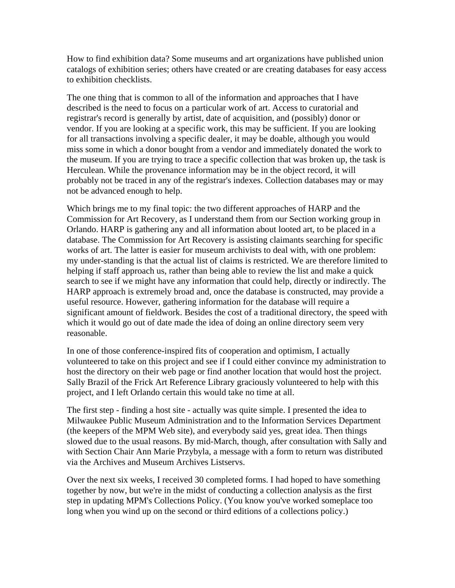How to find exhibition data? Some museums and art organizations have published union catalogs of exhibition series; others have created or are creating databases for easy access to exhibition checklists.

The one thing that is common to all of the information and approaches that I have described is the need to focus on a particular work of art. Access to curatorial and registrar's record is generally by artist, date of acquisition, and (possibly) donor or vendor. If you are looking at a specific work, this may be sufficient. If you are looking for all transactions involving a specific dealer, it may be doable, although you would miss some in which a donor bought from a vendor and immediately donated the work to the museum. If you are trying to trace a specific collection that was broken up, the task is Herculean. While the provenance information may be in the object record, it will probably not be traced in any of the registrar's indexes. Collection databases may or may not be advanced enough to help.

Which brings me to my final topic: the two different approaches of HARP and the Commission for Art Recovery, as I understand them from our Section working group in Orlando. HARP is gathering any and all information about looted art, to be placed in a database. The Commission for Art Recovery is assisting claimants searching for specific works of art. The latter is easier for museum archivists to deal with, with one problem: my under-standing is that the actual list of claims is restricted. We are therefore limited to helping if staff approach us, rather than being able to review the list and make a quick search to see if we might have any information that could help, directly or indirectly. The HARP approach is extremely broad and, once the database is constructed, may provide a useful resource. However, gathering information for the database will require a significant amount of fieldwork. Besides the cost of a traditional directory, the speed with which it would go out of date made the idea of doing an online directory seem very reasonable.

In one of those conference-inspired fits of cooperation and optimism, I actually volunteered to take on this project and see if I could either convince my administration to host the directory on their web page or find another location that would host the project. Sally Brazil of the Frick Art Reference Library graciously volunteered to help with this project, and I left Orlando certain this would take no time at all.

The first step - finding a host site - actually was quite simple. I presented the idea to Milwaukee Public Museum Administration and to the Information Services Department (the keepers of the MPM Web site), and everybody said yes, great idea. Then things slowed due to the usual reasons. By mid-March, though, after consultation with Sally and with Section Chair Ann Marie Przybyla, a message with a form to return was distributed via the Archives and Museum Archives Listservs.

Over the next six weeks, I received 30 completed forms. I had hoped to have something together by now, but we're in the midst of conducting a collection analysis as the first step in updating MPM's Collections Policy. (You know you've worked someplace too long when you wind up on the second or third editions of a collections policy.)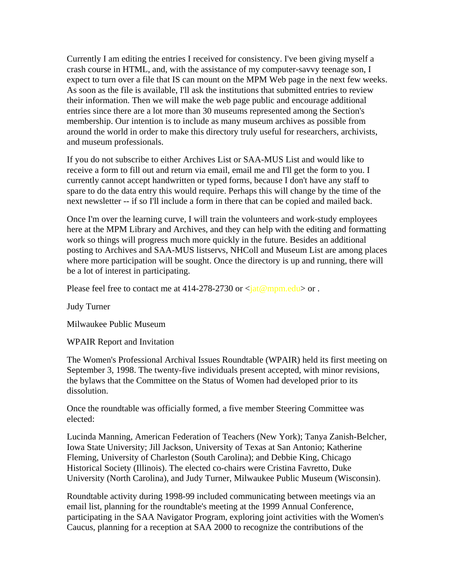Currently I am editing the entries I received for consistency. I've been giving myself a crash course in HTML, and, with the assistance of my computer-savvy teenage son, I expect to turn over a file that IS can mount on the MPM Web page in the next few weeks. As soon as the file is available, I'll ask the institutions that submitted entries to review their information. Then we will make the web page public and encourage additional entries since there are a lot more than 30 museums represented among the Section's membership. Our intention is to include as many museum archives as possible from around the world in order to make this directory truly useful for researchers, archivists, and museum professionals.

If you do not subscribe to either Archives List or SAA-MUS List and would like to receive a form to fill out and return via email, email me and I'll get the form to you. I currently cannot accept handwritten or typed forms, because I don't have any staff to spare to do the data entry this would require. Perhaps this will change by the time of the next newsletter -- if so I'll include a form in there that can be copied and mailed back.

Once I'm over the learning curve, I will train the volunteers and work-study employees here at the MPM Library and Archives, and they can help with the editing and formatting work so things will progress much more quickly in the future. Besides an additional posting to Archives and SAA-MUS listservs, NHColl and Museum List are among places where more participation will be sought. Once the directory is up and running, there will be a lot of interest in participating.

Please feel free to contact me at 414-278-2730 or  $\frac{\sin(\omega m)}{m}$  edu > or.

Judy Turner

Milwaukee Public Museum

WPAIR Report and Invitation

The Women's Professional Archival Issues Roundtable (WPAIR) held its first meeting on September 3, 1998. The twenty-five individuals present accepted, with minor revisions, the bylaws that the Committee on the Status of Women had developed prior to its dissolution.

Once the roundtable was officially formed, a five member Steering Committee was elected:

Lucinda Manning, American Federation of Teachers (New York); Tanya Zanish-Belcher, Iowa State University; Jill Jackson, University of Texas at San Antonio; Katherine Fleming, University of Charleston (South Carolina); and Debbie King, Chicago Historical Society (Illinois). The elected co-chairs were Cristina Favretto, Duke University (North Carolina), and Judy Turner, Milwaukee Public Museum (Wisconsin).

Roundtable activity during 1998-99 included communicating between meetings via an email list, planning for the roundtable's meeting at the 1999 Annual Conference, participating in the SAA Navigator Program, exploring joint activities with the Women's Caucus, planning for a reception at SAA 2000 to recognize the contributions of the